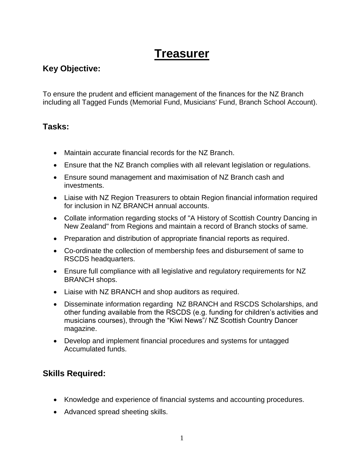## **Treasurer**

## **Key Objective:**

To ensure the prudent and efficient management of the finances for the NZ Branch including all Tagged Funds (Memorial Fund, Musicians' Fund, Branch School Account).

## **Tasks:**

- Maintain accurate financial records for the NZ Branch.
- Ensure that the NZ Branch complies with all relevant legislation or regulations.
- Ensure sound management and maximisation of NZ Branch cash and investments.
- Liaise with NZ Region Treasurers to obtain Region financial information required for inclusion in NZ BRANCH annual accounts.
- Collate information regarding stocks of "A History of Scottish Country Dancing in New Zealand" from Regions and maintain a record of Branch stocks of same.
- Preparation and distribution of appropriate financial reports as required.
- Co-ordinate the collection of membership fees and disbursement of same to RSCDS headquarters.
- Ensure full compliance with all legislative and regulatory requirements for NZ BRANCH shops.
- Liaise with NZ BRANCH and shop auditors as required.
- Disseminate information regarding NZ BRANCH and RSCDS Scholarships, and other funding available from the RSCDS (e.g. funding for children's activities and musicians courses), through the "Kiwi News"/ NZ Scottish Country Dancer magazine.
- Develop and implement financial procedures and systems for untagged Accumulated funds.

## **Skills Required:**

- Knowledge and experience of financial systems and accounting procedures.
- Advanced spread sheeting skills.